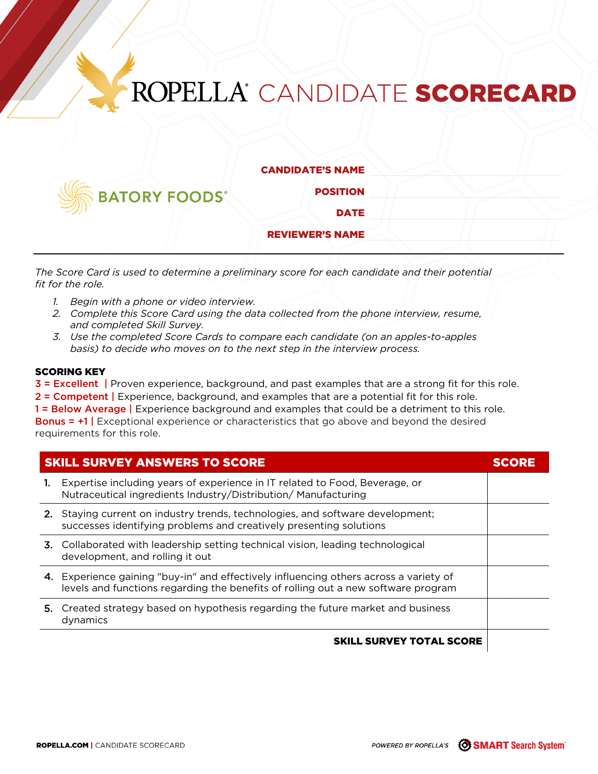## ROPELLA<sup>®</sup> CANDIDATE SCORECARD



CANDIDATE'S NAME

POSITION DATE

REVIEWER'S NAME

*The Score Card is used to determine a preliminary score for each candidate and their potential fit for the role.* 

- *1. Begin with a phone or video interview.*
- *2. Complete this Score Card using the data collected from the phone interview, resume, and completed Skill Survey.*
- *3. Use the completed Score Cards to compare each candidate (on an apples-to-apples basis) to decide who moves on to the next step in the interview process.*

## SCORING KEY

3 = Excellent | Proven experience, background, and past examples that are a strong fit for this role.

2 = Competent | Experience, background, and examples that are a potential fit for this role.

1 = Below Average | Experience background and examples that could be a detriment to this role. Bonus = +1 | Exceptional experience or characteristics that go above and beyond the desired requirements for this role.

| <b>SKILL SURVEY ANSWERS TO SCORE</b> |                                                                                                                                                                            |  |
|--------------------------------------|----------------------------------------------------------------------------------------------------------------------------------------------------------------------------|--|
|                                      | Expertise including years of experience in IT related to Food, Beverage, or<br>Nutraceutical ingredients Industry/Distribution/ Manufacturing                              |  |
|                                      | 2. Staying current on industry trends, technologies, and software development;<br>successes identifying problems and creatively presenting solutions                       |  |
|                                      | 3. Collaborated with leadership setting technical vision, leading technological<br>development, and rolling it out                                                         |  |
|                                      | 4. Experience gaining "buy-in" and effectively influencing others across a variety of<br>levels and functions regarding the benefits of rolling out a new software program |  |
|                                      | 5. Created strategy based on hypothesis regarding the future market and business<br>dynamics                                                                               |  |
|                                      | <b>SKILL SURVEY TOTAL SCORE</b>                                                                                                                                            |  |